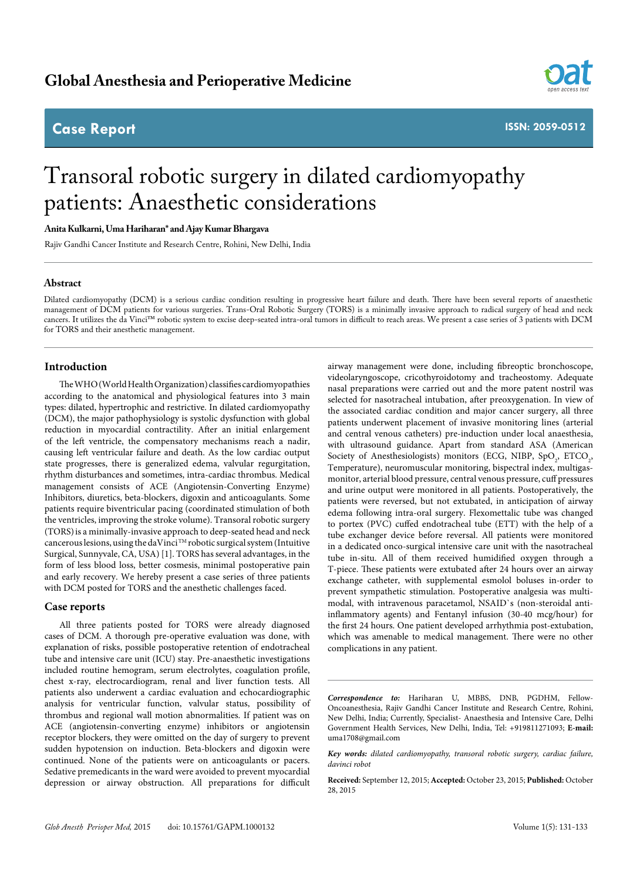# **Global Anesthesia and Perioperative Medicine**

# **Case Report**



**ISSN: 2059-0512**

# Transoral robotic surgery in dilated cardiomyopathy patients: Anaesthetic considerations

## **Anita Kulkarni, Uma Hariharan\* and Ajay Kumar Bhargava**

Rajiv Gandhi Cancer Institute and Research Centre, Rohini, New Delhi, India

## **Abstract**

Dilated cardiomyopathy (DCM) is a serious cardiac condition resulting in progressive heart failure and death. There have been several reports of anaesthetic management of DCM patients for various surgeries. Trans-Oral Robotic Surgery (TORS) is a minimally invasive approach to radical surgery of head and neck cancers. It utilizes the da Vinci™ robotic system to excise deep-seated intra-oral tumors in difficult to reach areas. We present a case series of 3 patients with DCM for TORS and their anesthetic management.

# **Introduction**

The WHO (World Health Organization) classifies cardiomyopathies according to the anatomical and physiological features into 3 main types: dilated, hypertrophic and restrictive. In dilated cardiomyopathy (DCM), the major pathophysiology is systolic dysfunction with global reduction in myocardial contractility. After an initial enlargement of the left ventricle, the compensatory mechanisms reach a nadir, causing left ventricular failure and death. As the low cardiac output state progresses, there is generalized edema, valvular regurgitation, rhythm disturbances and sometimes, intra-cardiac thrombus. Medical management consists of ACE (Angiotensin-Converting Enzyme) Inhibitors, diuretics, beta-blockers, digoxin and anticoagulants. Some patients require biventricular pacing (coordinated stimulation of both the ventricles, improving the stroke volume). Transoral robotic surgery (TORS)is a minimally-invasive approach to deep-seated head and neck cancerous lesions, using the daVinci TM robotic surgical system (Intuitive Surgical, Sunnyvale, CA, USA) [1]. TORS has several advantages, in the form of less blood loss, better cosmesis, minimal postoperative pain and early recovery. We hereby present a case series of three patients with DCM posted for TORS and the anesthetic challenges faced.

#### **Case reports**

All three patients posted for TORS were already diagnosed cases of DCM. A thorough pre-operative evaluation was done, with explanation of risks, possible postoperative retention of endotracheal tube and intensive care unit (ICU) stay. Pre-anaesthetic investigations included routine hemogram, serum electrolytes, coagulation profile, chest x-ray, electrocardiogram, renal and liver function tests. All patients also underwent a cardiac evaluation and echocardiographic analysis for ventricular function, valvular status, possibility of thrombus and regional wall motion abnormalities. If patient was on ACE (angiotensin-converting enzyme) inhibitors or angiotensin receptor blockers, they were omitted on the day of surgery to prevent sudden hypotension on induction. Beta-blockers and digoxin were continued. None of the patients were on anticoagulants or pacers. Sedative premedicants in the ward were avoided to prevent myocardial depression or airway obstruction. All preparations for difficult

airway management were done, including fibreoptic bronchoscope, videolaryngoscope, cricothyroidotomy and tracheostomy. Adequate nasal preparations were carried out and the more patent nostril was selected for nasotracheal intubation, after preoxygenation. In view of the associated cardiac condition and major cancer surgery, all three patients underwent placement of invasive monitoring lines (arterial and central venous catheters) pre-induction under local anaesthesia, with ultrasound guidance. Apart from standard ASA (American Society of Anesthesiologists) monitors (ECG, NIBP,  $SpO_2$ , ETCO<sub>2</sub>, Temperature), neuromuscular monitoring, bispectral index, multigasmonitor, arterial blood pressure, central venous pressure, cuff pressures and urine output were monitored in all patients. Postoperatively, the patients were reversed, but not extubated, in anticipation of airway edema following intra-oral surgery. Flexomettalic tube was changed to portex (PVC) cuffed endotracheal tube (ETT) with the help of a tube exchanger device before reversal. All patients were monitored in a dedicated onco-surgical intensive care unit with the nasotracheal tube in-situ. All of them received humidified oxygen through a T-piece. These patients were extubated after 24 hours over an airway exchange catheter, with supplemental esmolol boluses in-order to prevent sympathetic stimulation. Postoperative analgesia was multimodal, with intravenous paracetamol, NSAID`s (non-steroidal antiinflammatory agents) and Fentanyl infusion (30-40 mcg/hour) for the first 24 hours. One patient developed arrhythmia post-extubation, which was amenable to medical management. There were no other complications in any patient.

*Correspondence to:* Hariharan U, MBBS, DNB, PGDHM, Fellow-Oncoanesthesia, Rajiv Gandhi Cancer Institute and Research Centre, Rohini, New Delhi, India; Currently, Specialist- Anaesthesia and Intensive Care, Delhi Government Health Services, New Delhi, India, Tel: +919811271093; **E-mail:** uma1708@gmail.com

*Key words: dilated cardiomyopathy, transoral robotic surgery, cardiac failure, davinci robot*

**Received:** September 12, 2015; **Accepted:** October 23, 2015; **Published:** October 28, 2015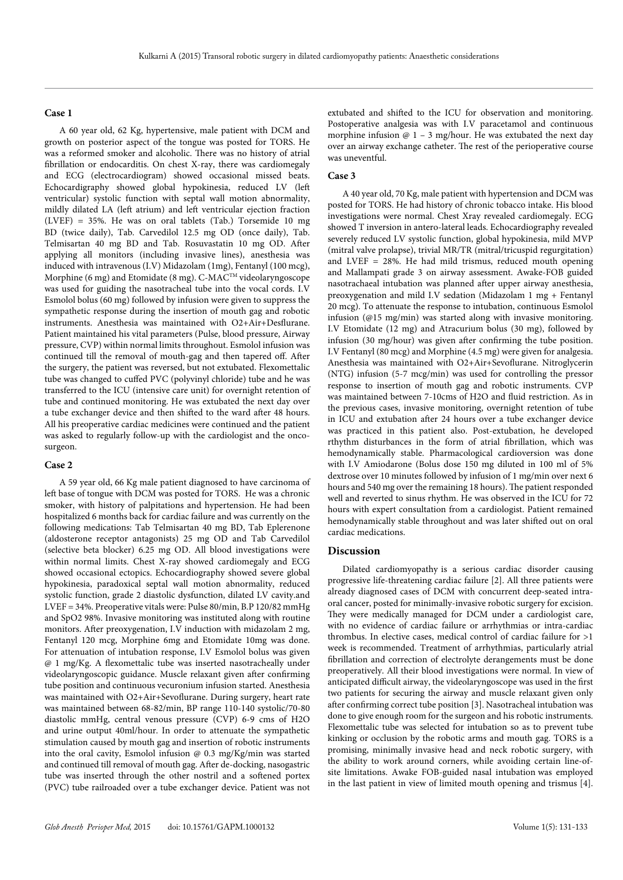#### **Case 1**

A 60 year old, 62 Kg, hypertensive, male patient with DCM and growth on posterior aspect of the tongue was posted for TORS. He was a reformed smoker and alcoholic. There was no history of atrial fibrillation or endocarditis. On chest X-ray, there was cardiomegaly and ECG (electrocardiogram) showed occasional missed beats. Echocardigraphy showed global hypokinesia, reduced LV (left ventricular) systolic function with septal wall motion abnormality, mildly dilated LA (left atrium) and left ventricular ejection fraction (LVEF) = 35%. He was on oral tablets (Tab.) Torsemide 10 mg BD (twice daily), Tab. Carvedilol 12.5 mg OD (once daily), Tab. Telmisartan 40 mg BD and Tab. Rosuvastatin 10 mg OD. After applying all monitors (including invasive lines), anesthesia was induced with intravenous (I.V) Midazolam (1mg), Fentanyl (100 mcg), Morphine (6 mg) and Etomidate (8 mg). C-MAC<sup>TM</sup> videolaryngoscope was used for guiding the nasotracheal tube into the vocal cords. I.V Esmolol bolus (60 mg) followed by infusion were given to suppress the sympathetic response during the insertion of mouth gag and robotic instruments. Anesthesia was maintained with O2+Air+Desflurane. Patient maintained his vital parameters (Pulse, blood pressure, Airway pressure, CVP) within normal limits throughout. Esmolol infusion was continued till the removal of mouth-gag and then tapered off. After the surgery, the patient was reversed, but not extubated. Flexomettalic tube was changed to cuffed PVC (polyvinyl chloride) tube and he was transferred to the ICU (intensive care unit) for overnight retention of tube and continued monitoring. He was extubated the next day over a tube exchanger device and then shifted to the ward after 48 hours. All his preoperative cardiac medicines were continued and the patient was asked to regularly follow-up with the cardiologist and the oncosurgeon.

## **Case 2**

A 59 year old, 66 Kg male patient diagnosed to have carcinoma of left base of tongue with DCM was posted for TORS. He was a chronic smoker, with history of palpitations and hypertension. He had been hospitalized 6 months back for cardiac failure and was currently on the following medications: Tab Telmisartan 40 mg BD, Tab Eplerenone (aldosterone receptor antagonists) 25 mg OD and Tab Carvedilol (selective beta blocker) 6.25 mg OD. All blood investigations were within normal limits. Chest X-ray showed cardiomegaly and ECG showed occasional ectopics. Echocardiography showed severe global hypokinesia, paradoxical septal wall motion abnormality, reduced systolic function, grade 2 diastolic dysfunction, dilated LV cavity.and LVEF = 34%. Preoperative vitals were: Pulse 80/min, B.P 120/82 mmHg and SpO2 98%. Invasive monitoring was instituted along with routine monitors. After preoxygenation, I.V induction with midazolam 2 mg, Fentanyl 120 mcg, Morphine 6mg and Etomidate 10mg was done. For attenuation of intubation response, I.V Esmolol bolus was given @ 1 mg/Kg. A flexomettalic tube was inserted nasotracheally under videolaryngoscopic guidance. Muscle relaxant given after confirming tube position and continuous vecuronium infusion started. Anesthesia was maintained with O2+Air+Sevoflurane. During surgery, heart rate was maintained between 68-82/min, BP range 110-140 systolic/70-80 diastolic mmHg, central venous pressure (CVP) 6-9 cms of H2O and urine output 40ml/hour. In order to attenuate the sympathetic stimulation caused by mouth gag and insertion of robotic instruments into the oral cavity, Esmolol infusion @ 0.3 mg/Kg/min was started and continued till removal of mouth gag. After de-docking, nasogastric tube was inserted through the other nostril and a softened portex (PVC) tube railroaded over a tube exchanger device. Patient was not extubated and shifted to the ICU for observation and monitoring. Postoperative analgesia was with I.V paracetamol and continuous morphine infusion  $\omega$  1 – 3 mg/hour. He was extubated the next day over an airway exchange catheter. The rest of the perioperative course was uneventful.

# **Case 3**

A 40 year old, 70 Kg, male patient with hypertension and DCM was posted for TORS. He had history of chronic tobacco intake. His blood investigations were normal. Chest Xray revealed cardiomegaly. ECG showed T inversion in antero-lateral leads. Echocardiography revealed severely reduced LV systolic function, global hypokinesia, mild MVP (mitral valve prolapse), trivial MR/TR (mitral/tricuspid regurgitation) and LVEF = 28%. He had mild trismus, reduced mouth opening and Mallampati grade 3 on airway assessment. Awake-FOB guided nasotrachaeal intubation was planned after upper airway anesthesia, preoxygenation and mild I.V sedation (Midazolam 1 mg + Fentanyl 20 mcg). To attenuate the response to intubation, continuous Esmolol infusion (@15 mg/min) was started along with invasive monitoring. I.V Etomidate (12 mg) and Atracurium bolus (30 mg), followed by infusion (30 mg/hour) was given after confirming the tube position. I.V Fentanyl (80 mcg) and Morphine (4.5 mg) were given for analgesia. Anesthesia was maintained with O2+Air+Sevoflurane. Nitroglycerin (NTG) infusion (5-7 mcg/min) was used for controlling the pressor response to insertion of mouth gag and robotic instruments. CVP was maintained between 7-10cms of H2O and fluid restriction. As in the previous cases, invasive monitoring, overnight retention of tube in ICU and extubation after 24 hours over a tube exchanger device was practiced in this patient also. Post-extubation, he developed rthythm disturbances in the form of atrial fibrillation, which was hemodynamically stable. Pharmacological cardioversion was done with I.V Amiodarone (Bolus dose 150 mg diluted in 100 ml of 5% dextrose over 10 minutes followed by infusion of 1 mg/min over next 6 hours and 540 mg over the remaining 18 hours). The patient responded well and reverted to sinus rhythm. He was observed in the ICU for 72 hours with expert consultation from a cardiologist. Patient remained hemodynamically stable throughout and was later shifted out on oral cardiac medications.

#### **Discussion**

Dilated cardiomyopathy is a serious cardiac disorder causing progressive life-threatening cardiac failure [2]. All three patients were already diagnosed cases of DCM with concurrent deep-seated intraoral cancer, posted for minimally-invasive robotic surgery for excision. They were medically managed for DCM under a cardiologist care, with no evidence of cardiac failure or arrhythmias or intra-cardiac thrombus. In elective cases, medical control of cardiac failure for >1 week is recommended. Treatment of arrhythmias, particularly atrial fibrillation and correction of electrolyte derangements must be done preoperatively. All their blood investigations were normal. In view of anticipated difficult airway, the videolaryngoscope was used in the first two patients for securing the airway and muscle relaxant given only after confirming correct tube position [3]. Nasotracheal intubation was done to give enough room for the surgeon and his robotic instruments. Flexomettalic tube was selected for intubation so as to prevent tube kinking or occlusion by the robotic arms and mouth gag. TORS is a promising, minimally invasive head and neck robotic surgery, with the ability to work around corners, while avoiding certain line-ofsite limitations. Awake FOB-guided nasal intubation was employed in the last patient in view of limited mouth opening and trismus [4].